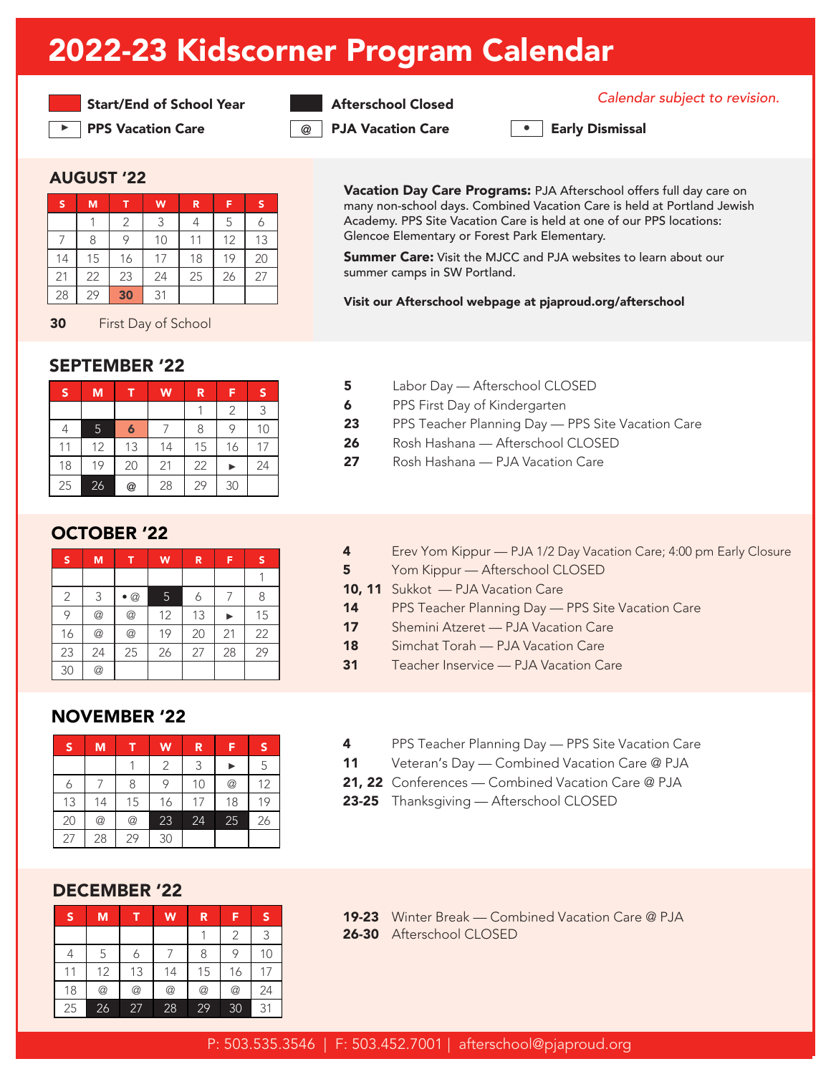## 2022-23 Kidscorner Program Calendar



▶ PPS Vacation Care 2020 DJA Vacation Care 2021 PPS Vacation Care

**Start/End of School Year Afterschool Closed** Communication.

**•**

### AUGUST '22

| s  | M  |    | W  | R  | Е  | <b>s</b> |
|----|----|----|----|----|----|----------|
|    |    | 2  | 3  | 4  | 5  |          |
|    |    | 9  | 10 |    | 12 | 13       |
| 14 | 15 | 16 | 17 | 18 | 19 | 20       |
| 21 | 22 | 23 | 24 | 25 | 26 | 27       |
| 28 | 29 | 30 | 31 |    |    |          |

30 First Day of School

## SEPTEMBER '22

| S  | M  |    | W  | R  | F  | S  |
|----|----|----|----|----|----|----|
|    |    |    |    |    | 2  | 3  |
| 4  | 5  | 6  |    | 8  | 9  | 10 |
| 11 | 12 | 13 | 14 | 15 | 16 | 17 |
| 18 | 19 | 20 | 21 | 22 |    | 24 |
| 25 | 26 | @  | 28 | 29 | 30 |    |

## OCTOBER '22

| S              | M  | T           | W  | R  | F  | s  |
|----------------|----|-------------|----|----|----|----|
|                |    |             |    |    |    |    |
| $\overline{2}$ | 3  | $\bullet$ @ | 5  | 6  |    | 8  |
| 9              | @  | @           | 12 | 13 |    | 15 |
| 16             | @  | @           | 19 | 20 | 21 | 22 |
| 23             | 24 | 25          | 26 | 27 | 28 | 29 |
| 30             | @  |             |    |    |    |    |

## NOVEMBER '22

| S  | M               |    | W  | R  | F               | S  |
|----|-----------------|----|----|----|-----------------|----|
|    |                 |    | 2  | 3  |                 | 5  |
|    |                 | 8  | 9  | 10 | $^{\copyright}$ | 12 |
| 13 | 14              | 15 | 16 | 17 | 18              | 19 |
| 20 | $^{\copyright}$ | @  | 23 | 24 | 25              | 26 |
| 27 | 28              | 29 | 30 |    |                 |    |

#### DECEMBER '22

| S  | M               | ū              | W  | R              | F               | S  |
|----|-----------------|----------------|----|----------------|-----------------|----|
|    |                 |                |    |                | 2               | 3  |
| 4  | 5               | 6              |    | 8              | 9               | 10 |
| 11 | 12              | 13             | 14 | 15             | 16              | 17 |
| 18 | $^{\copyright}$ | $^{\circledR}$ | @  | $^{\circledR}$ | $^{\copyright}$ | 24 |
| 25 | 26              | 27             | 28 | 29             | 30              | 31 |

Vacation Day Care Programs: PJA Afterschool offers full day care on many non-school days. Combined Vacation Care is held at Portland Jewish Academy. PPS Site Vacation Care is held at one of our PPS locations: Glencoe Elementary or Forest Park Elementary.

**Summer Care:** Visit the MJCC and PJA websites to learn about our summer camps in SW Portland.

#### Visit our Afterschool webpage at pjaproud.org/afterschool

- 5 Labor Day Afterschool CLOSED
- **6** PPS First Day of Kindergarten
- 23 PPS Teacher Planning Day PPS Site Vacation Care
- 26 Rosh Hashana Afterschool CLOSED
- 27 Rosh Hashana PJA Vacation Care
- 4 Erev Yom Kippur PJA 1/2 Day Vacation Care; 4:00 pm Early Closure
- 5 Yom Kippur Afterschool CLOSED
- 10, 11 Sukkot PJA Vacation Care
- 14 PPS Teacher Planning Day PPS Site Vacation Care
- 17 Shemini Atzeret PJA Vacation Care
- 18 Simchat Torah PJA Vacation Care
- 31 Teacher Inservice PJA Vacation Care
- **4** PPS Teacher Planning Day PPS Site Vacation Care
- 11 Veteran's Day Combined Vacation Care @ PJA
- 21, 22 Conferences Combined Vacation Care @ PJA
- 23-25 Thanksgiving Afterschool CLOSED
- 19-23 Winter Break Combined Vacation Care @ PJA 26-30 Afterschool CLOSED